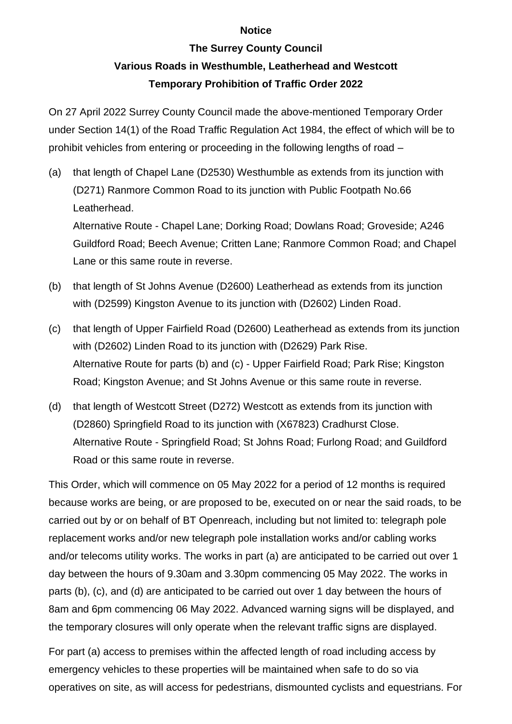## **Notice**

## **The Surrey County Council Various Roads in Westhumble, Leatherhead and Westcott Temporary Prohibition of Traffic Order 2022**

On 27 April 2022 Surrey County Council made the above-mentioned Temporary Order under Section 14(1) of the Road Traffic Regulation Act 1984, the effect of which will be to prohibit vehicles from entering or proceeding in the following lengths of road –

(a) that length of Chapel Lane (D2530) Westhumble as extends from its junction with (D271) Ranmore Common Road to its junction with Public Footpath No.66 Leatherhead.

Alternative Route - Chapel Lane; Dorking Road; Dowlans Road; Groveside; A246 Guildford Road; Beech Avenue; Critten Lane; Ranmore Common Road; and Chapel Lane or this same route in reverse.

- (b) that length of St Johns Avenue (D2600) Leatherhead as extends from its junction with (D2599) Kingston Avenue to its junction with (D2602) Linden Road.
- (c) that length of Upper Fairfield Road (D2600) Leatherhead as extends from its junction with (D2602) Linden Road to its junction with (D2629) Park Rise. Alternative Route for parts (b) and (c) - Upper Fairfield Road; Park Rise; Kingston Road; Kingston Avenue; and St Johns Avenue or this same route in reverse.
- (d) that length of Westcott Street (D272) Westcott as extends from its junction with (D2860) Springfield Road to its junction with (X67823) Cradhurst Close. Alternative Route - Springfield Road; St Johns Road; Furlong Road; and Guildford Road or this same route in reverse.

This Order, which will commence on 05 May 2022 for a period of 12 months is required because works are being, or are proposed to be, executed on or near the said roads, to be carried out by or on behalf of BT Openreach, including but not limited to: telegraph pole replacement works and/or new telegraph pole installation works and/or cabling works and/or telecoms utility works. The works in part (a) are anticipated to be carried out over 1 day between the hours of 9.30am and 3.30pm commencing 05 May 2022. The works in parts (b), (c), and (d) are anticipated to be carried out over 1 day between the hours of 8am and 6pm commencing 06 May 2022. Advanced warning signs will be displayed, and the temporary closures will only operate when the relevant traffic signs are displayed.

For part (a) access to premises within the affected length of road including access by emergency vehicles to these properties will be maintained when safe to do so via operatives on site, as will access for pedestrians, dismounted cyclists and equestrians. For